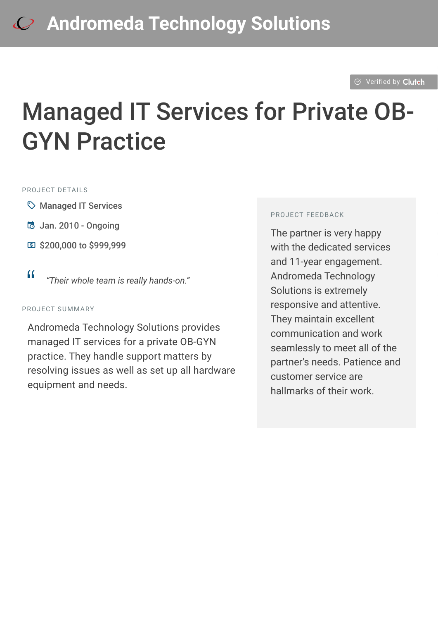#### $\otimes$  [Verified by](https://clutch.co?utm_source=case_studies&utm_medium=verified_by_clutch) Clutch

# Managed IT Services for Private OB-GYN Practice

#### PROJECT DFTAILS

- $\heartsuit$  Managed IT Services
- B Jan. 2010 Ongoing
- **国 \$200,000 to \$999,999**
- <sup>D</sup> *"Their whole team is really hands-on."*

#### PROJECT SUMMARY

Andromeda Technology Solutions provides managed IT services for a private OB-GYN practice. They handle support matters by resolving issues as well as set up all hardware equipment and needs.

#### PROJECT FEEDBACK

The partner is very happy with the dedicated services and 11-year engagement. Andromeda Technology Solutions is extremely responsive and attentive. They maintain excellent communication and work seamlessly to meet all of the partner's needs. Patience and customer service are hallmarks of their work.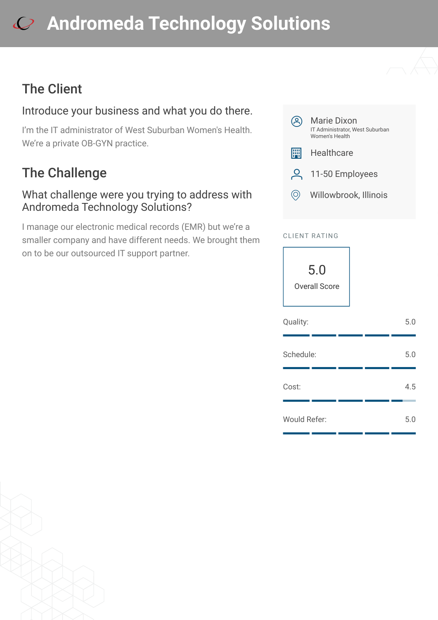# **[A](https://clutch.co/profile/andromeda-technology-solutions?utm_source=case_studies&utm_medium=logo)ndromeda Technology Solutions**

## The Client

### Introduce your business and what you do there.

I'm the IT administrator of West Suburban Women's Health. We're a private OB-GYN practice.

# The Challenge

#### What challenge were you trying to address with Andromeda Technology Solutions?

I manage our electronic medical records (EMR) but we're a smaller company and have different needs. We brought them on to be our outsourced IT support partner.



#### CLIENT RATING

5.0 Overall Score

| Quality:            |  | 5.0 |
|---------------------|--|-----|
| Schedule:           |  | 5.0 |
| Cost:               |  | 4.5 |
| <b>Would Refer:</b> |  | 5.0 |

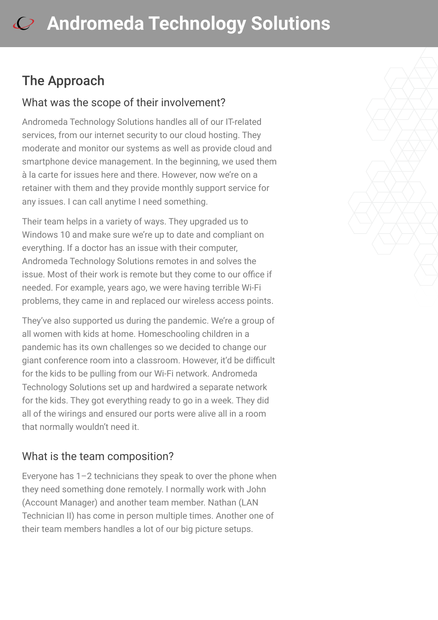## The Approach

#### What was the scope of their involvement?

Andromeda Technology Solutions handles all of our IT-related services, from our internet security to our cloud hosting. They moderate and monitor our systems as well as provide cloud and smartphone device management. In the beginning, we used them à la carte for issues here and there. However, now we're on a retainer with them and they provide monthly support service for any issues. I can call anytime I need something.

Their team helps in a variety of ways. They upgraded us to Windows 10 and make sure we're up to date and compliant on everything. If a doctor has an issue with their computer, Andromeda Technology Solutions remotes in and solves the issue. Most of their work is remote but they come to our office if needed. For example, years ago, we were having terrible Wi-Fi problems, they came in and replaced our wireless access points.

They've also supported us during the pandemic. We're a group of all women with kids at home. Homeschooling children in a pandemic has its own challenges so we decided to change our giant conference room into a classroom. However, it'd be difficult for the kids to be pulling from our Wi-Fi network. Andromeda Technology Solutions set up and hardwired a separate network for the kids. They got everything ready to go in a week. They did all of the wirings and ensured our ports were alive all in a room that normally wouldn't need it.

#### What is the team composition?

Everyone has 1–2 technicians they speak to over the phone when they need something done remotely. I normally work with John (Account Manager) and another team member. Nathan (LAN Technician II) has come in person multiple times. Another one of their team members handles a lot of our big picture setups.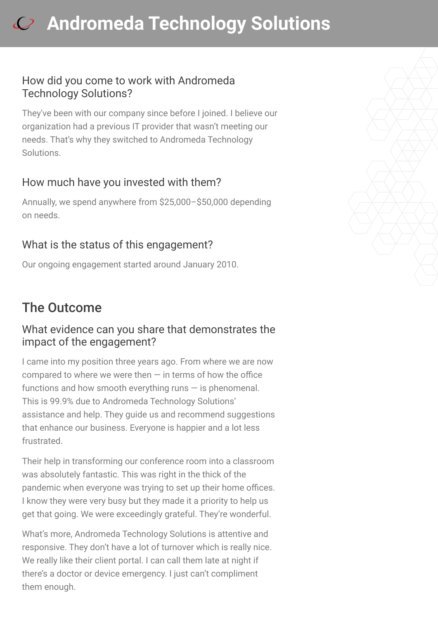# **[A](https://clutch.co/profile/andromeda-technology-solutions?utm_source=case_studies&utm_medium=logo)ndromeda Technology Solutions**

#### How did you come to work with Andromeda Technology Solutions?

They've been with our company since before I joined. I believe our organization had a previous IT provider that wasn't meeting our needs. That's why they switched to Andromeda Technology Solutions.

#### How much have you invested with them?

Annually, we spend anywhere from \$25,000–\$50,000 depending on needs.

#### What is the status of this engagement?

Our ongoing engagement started around January 2010.

## The Outcome

#### What evidence can you share that demonstrates the impact of the engagement?

I came into my position three years ago. From where we are now compared to where we were then  $-$  in terms of how the office functions and how smooth everything runs  $-$  is phenomenal. This is 99.9% due to Andromeda Technology Solutions' assistance and help. They guide us and recommend suggestions that enhance our business. Everyone is happier and a lot less frustrated.

Their help in transforming our conference room into a classroom was absolutely fantastic. This was right in the thick of the pandemic when everyone was trying to set up their home offices. I know they were very busy but they made it a priority to help us get that going. We were exceedingly grateful. They're wonderful.

What's more, Andromeda Technology Solutions is attentive and responsive. They don't have a lot of turnover which is really nice. We really like their client portal. I can call them late at night if there's a doctor or device emergency. I just can't compliment them enough.